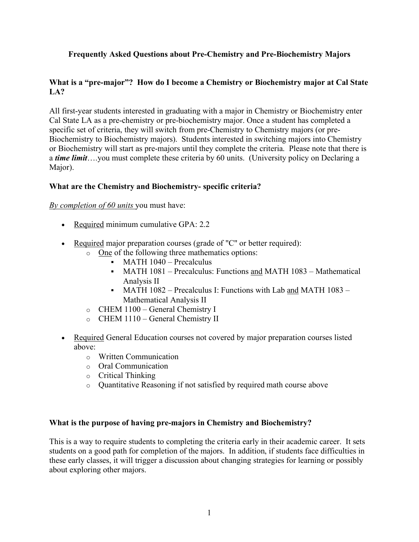# **Frequently Asked Questions about Pre-Chemistry and Pre-Biochemistry Majors**

## **What is a "pre-major"? How do I become a Chemistry or Biochemistry major at Cal State LA?**

All first-year students interested in graduating with a major in Chemistry or Biochemistry enter Cal State LA as a pre-chemistry or pre-biochemistry major. Once a student has completed a specific set of criteria, they will switch from pre-Chemistry to Chemistry majors (or pre-Biochemistry to Biochemistry majors). Students interested in switching majors into Chemistry or Biochemistry will start as pre-majors until they complete the criteria. Please note that there is a *time limit*….you must complete these criteria by 60 units. (University policy on Declaring a Major).

### **What are the Chemistry and Biochemistry- specific criteria?**

### *By completion of 60 units* you must have:

- Required minimum cumulative GPA: 2.2
- Required major preparation courses (grade of "C" or better required):
	- o One of the following three mathematics options:
		- MATH 1040 Precalculus
		- MATH 1081 Precalculus: Functions and MATH 1083 Mathematical Analysis II
		- MATH 1082 Precalculus I: Functions with Lab and MATH 1083 Mathematical Analysis II
	- o CHEM 1100 General Chemistry I
	- o CHEM 1110 General Chemistry II
- Required General Education courses not covered by major preparation courses listed above:
	- o Written Communication
	- o Oral Communication
	- o Critical Thinking
	- o Quantitative Reasoning if not satisfied by required math course above

### **What is the purpose of having pre-majors in Chemistry and Biochemistry?**

This is a way to require students to completing the criteria early in their academic career. It sets students on a good path for completion of the majors. In addition, if students face difficulties in these early classes, it will trigger a discussion about changing strategies for learning or possibly about exploring other majors.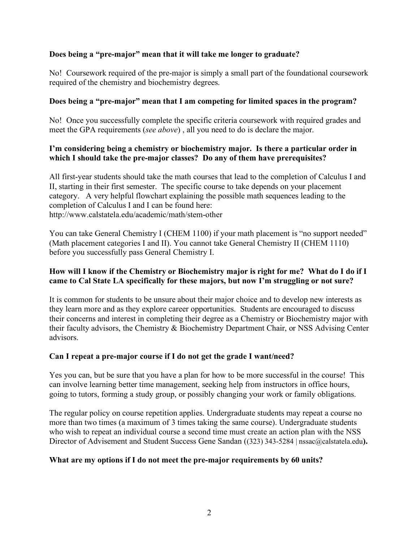## **Does being a "pre-major" mean that it will take me longer to graduate?**

No! Coursework required of the pre-major is simply a small part of the foundational coursework required of the chemistry and biochemistry degrees.

### **Does being a "pre-major" mean that I am competing for limited spaces in the program?**

No! Once you successfully complete the specific criteria coursework with required grades and meet the GPA requirements (*see above*) , all you need to do is declare the major.

### **I'm considering being a chemistry or biochemistry major. Is there a particular order in which I should take the pre-major classes? Do any of them have prerequisites?**

All first-year students should take the math courses that lead to the completion of Calculus I and II, starting in their first semester. The specific course to take depends on your placement category. A very helpful flowchart explaining the possible math sequences leading to the completion of Calculus I and I can be found here: http://www.calstatela.edu/academic/math/stem-other

You can take General Chemistry I (CHEM 1100) if your math placement is "no support needed" (Math placement categories I and II). You cannot take General Chemistry II (CHEM 1110) before you successfully pass General Chemistry I.

## **How will I know if the Chemistry or Biochemistry major is right for me? What do I do if I came to Cal State LA specifically for these majors, but now I'm struggling or not sure?**

It is common for students to be unsure about their major choice and to develop new interests as they learn more and as they explore career opportunities. Students are encouraged to discuss their concerns and interest in completing their degree as a Chemistry or Biochemistry major with their faculty advisors, the Chemistry & Biochemistry Department Chair, or NSS Advising Center advisors.

### **Can I repeat a pre-major course if I do not get the grade I want/need?**

Yes you can, but be sure that you have a plan for how to be more successful in the course! This can involve learning better time management, seeking help from instructors in office hours, going to tutors, forming a study group, or possibly changing your work or family obligations.

The regular policy on course repetition applies. Undergraduate students may repeat a course no more than two times (a maximum of 3 times taking the same course). Undergraduate students who wish to repeat an individual course a second time must create an action plan with the NSS Director of Advisement and Student Success Gene Sandan ((323) 343-5284 | nssac@calstatela.edu**).** 

### **What are my options if I do not meet the pre-major requirements by 60 units?**